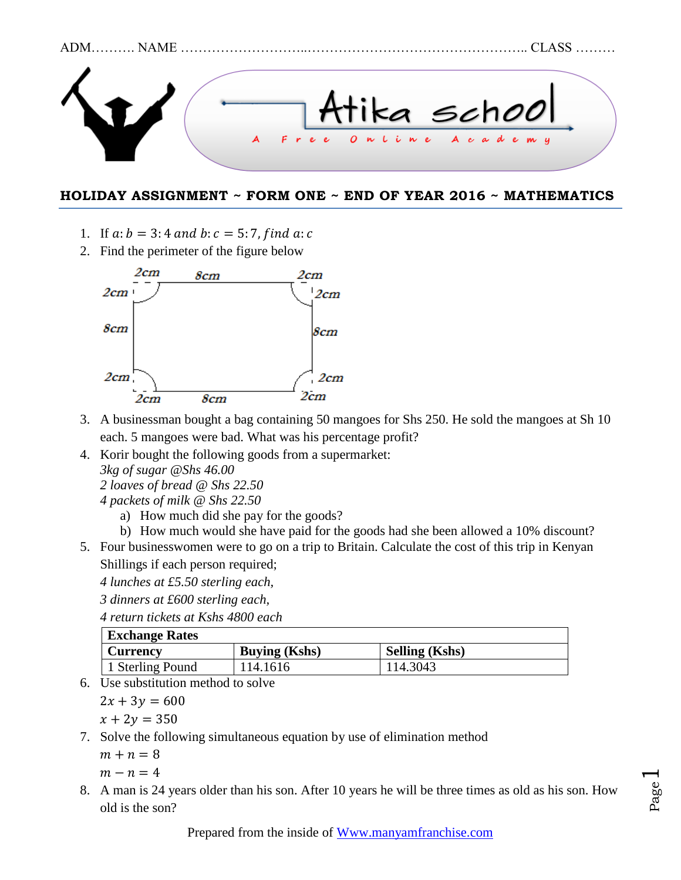

## **HOLIDAY ASSIGNMENT ~ FORM ONE ~ END OF YEAR 2016 ~ MATHEMATICS**

- 1. If  $a:b = 3:4$  and  $b:c = 5:7$ , find  $a:c$
- 2. Find the perimeter of the figure below



- 3. A businessman bought a bag containing 50 mangoes for Shs 250. He sold the mangoes at Sh 10 each. 5 mangoes were bad. What was his percentage profit?
- 4. Korir bought the following goods from a supermarket: *3kg of sugar @Shs 46.00 2 loaves of bread @ Shs 22.50 4 packets of milk @ Shs 22.50*
	- a) How much did she pay for the goods?
- b) How much would she have paid for the goods had she been allowed a 10% discount? 5. Four businesswomen were to go on a trip to Britain. Calculate the cost of this trip in Kenyan
	- Shillings if each person required;

*4 lunches at £5.50 sterling each,*

*3 dinners at £600 sterling each,*

*4 return tickets at Kshs 4800 each*

| <b>Exchange Rates</b> |                      |                       |  |  |  |
|-----------------------|----------------------|-----------------------|--|--|--|
| <b>Currency</b>       | <b>Buying (Kshs)</b> | <b>Selling (Kshs)</b> |  |  |  |
| 1 Sterling Pound      | 114.1616             | 114.3043              |  |  |  |

6. Use substitution method to solve

 $2x + 3y = 600$ 

- $x + 2y = 350$ 7. Solve the following simultaneous equation by use of elimination method
	- $m + n = 8$

$$
m-n=4
$$

8. A man is 24 years older than his son. After 10 years he will be three times as old as his son. How old is the son?

Page  $\overline{\phantom{0}}$ 

Prepared from the inside of [Www.manyamfranchise.com](http://www.manyamfranchise.com/)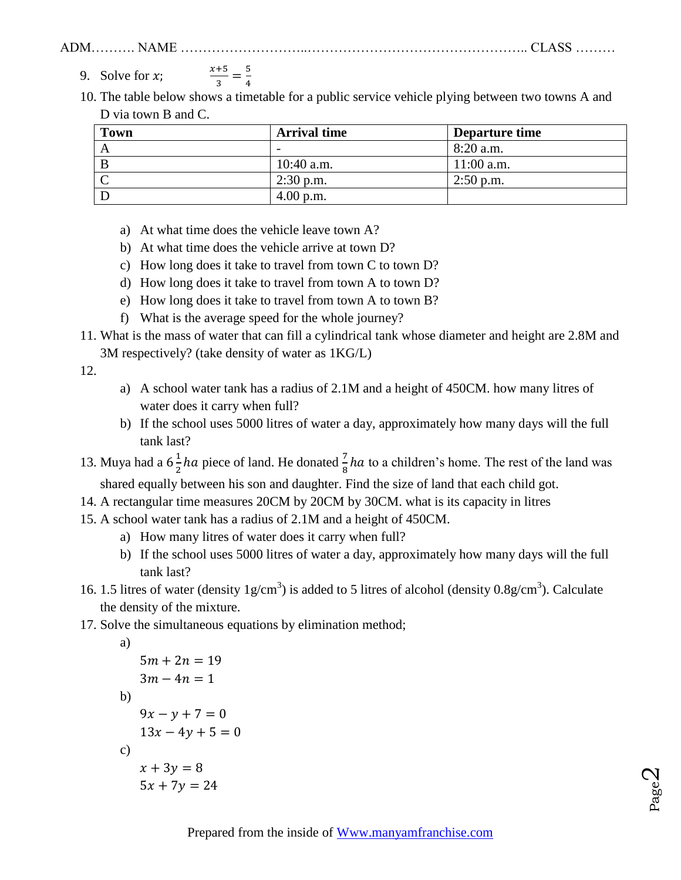9. Solve for  $x$ ;  $\mathcal{X}$  $\frac{+5}{3} = \frac{5}{4}$ 4

10. The table below shows a timetable for a public service vehicle plying between two towns A and D via town B and C.

| <b>Town</b> | <b>Arrival time</b>      | Departure time |
|-------------|--------------------------|----------------|
|             | $\overline{\phantom{0}}$ | $8:20$ a.m.    |
|             | $10:40$ a.m.             | $11:00$ a.m.   |
|             | $2:30$ p.m.              | $2:50$ p.m.    |
|             | $4.00$ p.m.              |                |

- a) At what time does the vehicle leave town A?
- b) At what time does the vehicle arrive at town D?
- c) How long does it take to travel from town C to town D?
- d) How long does it take to travel from town A to town D?
- e) How long does it take to travel from town A to town B?
- f) What is the average speed for the whole journey?
- 11. What is the mass of water that can fill a cylindrical tank whose diameter and height are 2.8M and 3M respectively? (take density of water as 1KG/L)

12.

- a) A school water tank has a radius of 2.1M and a height of 450CM. how many litres of water does it carry when full?
- b) If the school uses 5000 litres of water a day, approximately how many days will the full tank last?
- 13. Muya had a  $6\frac{1}{3}$  $\frac{1}{2}$  ha piece of land. He donated  $\frac{1}{8}$  ha to a children's home. The rest of the land was shared equally between his son and daughter. Find the size of land that each child got.
- 14. A rectangular time measures 20CM by 20CM by 30CM. what is its capacity in litres
- 15. A school water tank has a radius of 2.1M and a height of 450CM.
	- a) How many litres of water does it carry when full?
	- b) If the school uses 5000 litres of water a day, approximately how many days will the full tank last?
- 16. 1.5 litres of water (density  $1g/cm<sup>3</sup>$ ) is added to 5 litres of alcohol (density  $0.8g/cm<sup>3</sup>$ ). Calculate the density of the mixture.
- 17. Solve the simultaneous equations by elimination method;

```
a)
5m + 2n = 193m - 4n = 1b)
9x - y + 7 = 013x - 4y + 5 = 0c)
x + 3y = 85x + 7y = 24
```

$$
P_{\text{age}}2
$$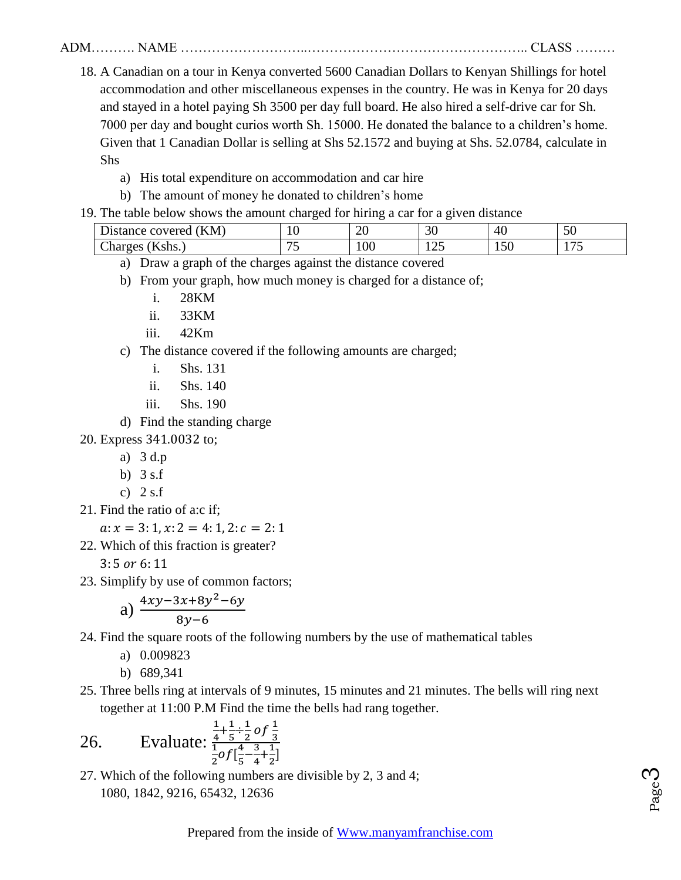- 18. A Canadian on a tour in Kenya converted 5600 Canadian Dollars to Kenyan Shillings for hotel accommodation and other miscellaneous expenses in the country. He was in Kenya for 20 days and stayed in a hotel paying Sh 3500 per day full board. He also hired a self-drive car for Sh. 7000 per day and bought curios worth Sh. 15000. He donated the balance to a children's home. Given that 1 Canadian Dollar is selling at Shs 52.1572 and buying at Shs. 52.0784, calculate in Shs
	- a) His total expenditure on accommodation and car hire
	- b) The amount of money he donated to children's home
- 19. The table below shows the amount charged for hiring a car for a given distance

| (KM)<br>covered<br>$\cup$ istance $\in$ | -<br>1 V | -<br>σr<br>∠∪     | -<br>$\sim$<br>υU     | 40                    | $\epsilon$<br>IJΩ |
|-----------------------------------------|----------|-------------------|-----------------------|-----------------------|-------------------|
| ~·<br>Kshs.<br>Unarges                  |          | $\Omega$<br>1 V V | $\sim$ $\sim$<br>⊥ ∠J | $\sim$ $\sim$<br>1.JU | $ -$<br>. .       |

- a) Draw a graph of the charges against the distance covered
- b) From your graph, how much money is charged for a distance of;
	- i. 28KM
	- ii. 33KM
	- iii. 42Km
- c) The distance covered if the following amounts are charged;
	- i. Shs. 131
	- ii. Shs. 140
	- iii. Shs. 190
- d) Find the standing charge

20. Express 341.0032 to;

- a) 3 d.p
- b) 3 s.f
- c)  $2$  s.f
- 21. Find the ratio of a:c if;

$$
a: x = 3:1, x: 2 = 4:1, 2: c = 2:1
$$

22. Which of this fraction is greater?

 $3:5$  or  $6:11$ 

23. Simplify by use of common factors;

a) 
$$
\frac{4xy-3x+8y^2-6y}{8y-6}
$$

24. Find the square roots of the following numbers by the use of mathematical tables

- a) 0.009823
- b) 689,341
- 25. Three bells ring at intervals of 9 minutes, 15 minutes and 21 minutes. The bells will ring next together at 11:00 P.M Find the time the bells had rang together.

26. Evaluate: 
$$
\frac{\frac{1}{4} + \frac{1}{5} \div \frac{1}{2} of \frac{1}{3}}{\frac{1}{2} of [\frac{4}{5} - \frac{3}{4} + \frac{1}{2}]}
$$

27. Which of the following numbers are divisible by 2, 3 and 4; 1080, 1842, 9216, 65432, 12636

Page

ო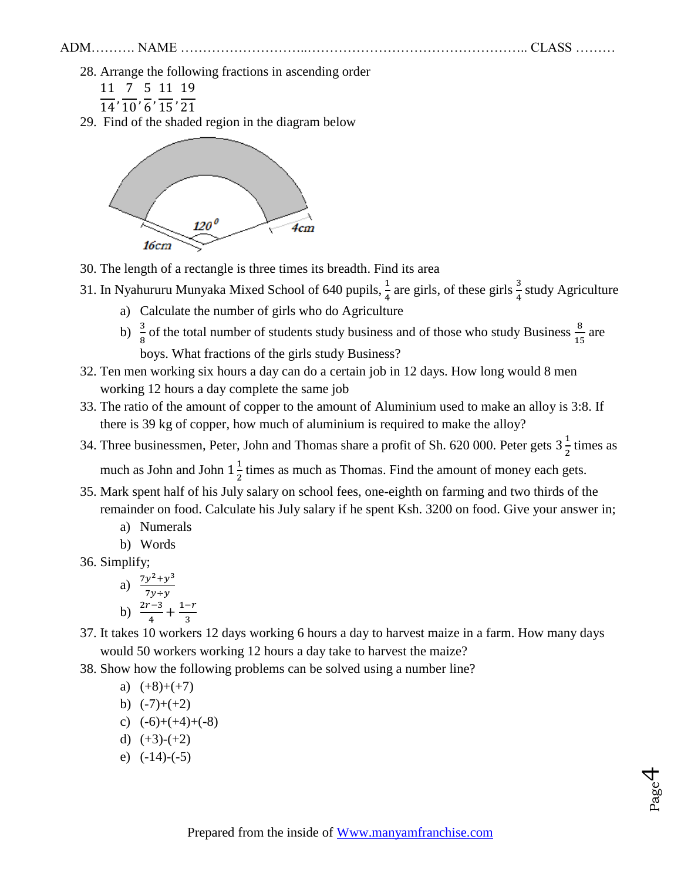Page

4

28. Arrange the following fractions in ascending order

11 7 5 11 1  $14'10'6$ J  $15'2$ 

29. Find of the shaded region in the diagram below



- 30. The length of a rectangle is three times its breadth. Find its area
- 31. In Nyahururu Munyaka Mixed School of 640 pupils,  $\frac{1}{4}$  are girls, of these girls  $\frac{3}{4}$  study Agriculture
	- a) Calculate the number of girls who do Agriculture
	- b)  $\frac{3}{8}$  of the total number of students study business and of those who study Business  $\frac{8}{15}$  are boys. What fractions of the girls study Business?
- 32. Ten men working six hours a day can do a certain job in 12 days. How long would 8 men working 12 hours a day complete the same job
- 33. The ratio of the amount of copper to the amount of Aluminium used to make an alloy is 3:8. If there is 39 kg of copper, how much of aluminium is required to make the alloy?
- 34. Three businessmen, Peter, John and Thomas share a profit of Sh. 620 000. Peter gets  $3\frac{1}{3}$  $\frac{1}{2}$  times as much as John and John  $1\frac{1}{3}$  $\frac{1}{2}$  times as much as Thomas. Find the amount of money each gets.
- 35. Mark spent half of his July salary on school fees, one-eighth on farming and two thirds of the remainder on food. Calculate his July salary if he spent Ksh. 3200 on food. Give your answer in;
	- a) Numerals
	- b) Words
- 36. Simplify;

a) 
$$
\frac{7y^2 + y^3}{7y + y}
$$
  
b) 
$$
\frac{2r - 3}{4} + \frac{1 - r}{3}
$$

- 37. It takes 10 workers 12 days working 6 hours a day to harvest maize in a farm. How many days would 50 workers working 12 hours a day take to harvest the maize?
- 38. Show how the following problems can be solved using a number line?

a) 
$$
(+8)+(+7)
$$

- b)  $(-7)+(+2)$
- c)  $(-6)+(+4)+(-8)$
- d)  $(+3)-(+2)$
- e)  $(-14)-(-5)$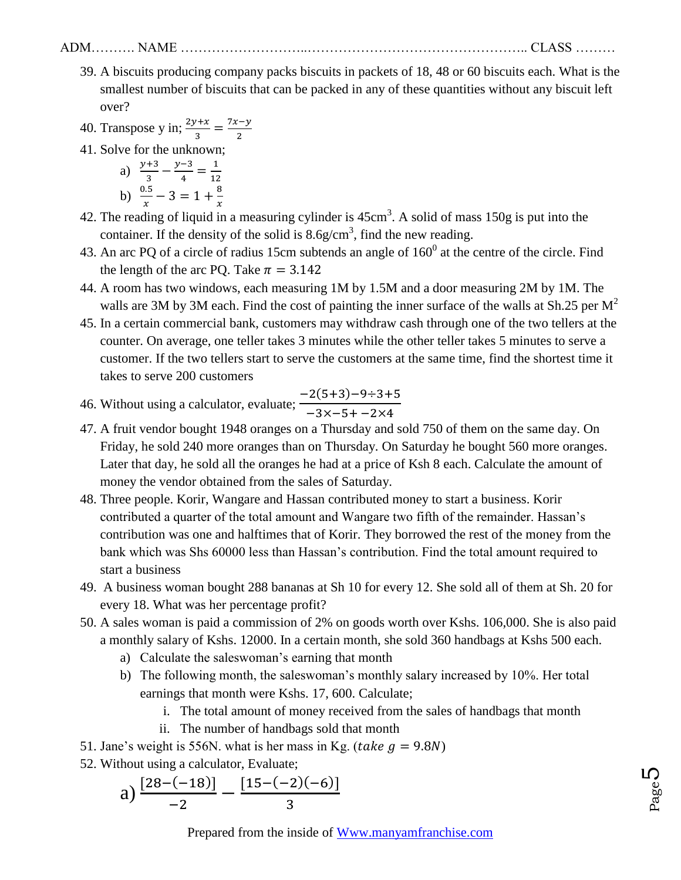- 39. A biscuits producing company packs biscuits in packets of 18, 48 or 60 biscuits each. What is the smallest number of biscuits that can be packed in any of these quantities without any biscuit left over?
- 40. Transpose y in;  $\frac{2y+x}{3} = \frac{7}{3}$  $\overline{\mathbf{c}}$
- 41. Solve for the unknown;
	- a)  $\frac{y+3}{3} \frac{y}{3}$  $\frac{-3}{4} = \frac{1}{12}$  $\mathbf 1$ b)  $\frac{0.5}{x} - 3 = 1 + \frac{8}{x}$  $\mathcal{X}$
- 42. The reading of liquid in a measuring cylinder is  $45 \text{cm}^3$ . A solid of mass 150g is put into the container. If the density of the solid is  $8.6$  g/cm<sup>3</sup>, find the new reading.
- 43. An arc PQ of a circle of radius 15cm subtends an angle of  $160<sup>0</sup>$  at the centre of the circle. Find the length of the arc PO. Take  $\pi = 3.142$
- 44. A room has two windows, each measuring 1M by 1.5M and a door measuring 2M by 1M. The walls are 3M by 3M each. Find the cost of painting the inner surface of the walls at Sh.25 per  $M^2$
- 45. In a certain commercial bank, customers may withdraw cash through one of the two tellers at the counter. On average, one teller takes 3 minutes while the other teller takes 5 minutes to serve a customer. If the two tellers start to serve the customers at the same time, find the shortest time it takes to serve 200 customers
- 46. Without using a calculator, evaluate;  $-2(5+3) \overline{\phantom{0}}$
- 47. A fruit vendor bought 1948 oranges on a Thursday and sold 750 of them on the same day. On Friday, he sold 240 more oranges than on Thursday. On Saturday he bought 560 more oranges. Later that day, he sold all the oranges he had at a price of Ksh 8 each. Calculate the amount of money the vendor obtained from the sales of Saturday.
- 48. Three people. Korir, Wangare and Hassan contributed money to start a business. Korir contributed a quarter of the total amount and Wangare two fifth of the remainder. Hassan's contribution was one and halftimes that of Korir. They borrowed the rest of the money from the bank which was Shs 60000 less than Hassan's contribution. Find the total amount required to start a business
- 49. A business woman bought 288 bananas at Sh 10 for every 12. She sold all of them at Sh. 20 for every 18. What was her percentage profit?
- 50. A sales woman is paid a commission of 2% on goods worth over Kshs. 106,000. She is also paid a monthly salary of Kshs. 12000. In a certain month, she sold 360 handbags at Kshs 500 each.
	- a) Calculate the saleswoman's earning that month
	- b) The following month, the saleswoman's monthly salary increased by 10%. Her total earnings that month were Kshs. 17, 600. Calculate;
		- i. The total amount of money received from the sales of handbags that month
		- ii. The number of handbags sold that month
- 51. Jane's weight is 556N, what is her mass in Kg. (*take*  $g = 9.8N$ )
- 52. Without using a calculator, Evaluate;

a) 
$$
\frac{[28-(-18)]}{-2} - \frac{[15-(-2)(-6)]}{3}
$$

Prepared from the inside of [Www.manyamfranchise.com](http://www.manyamfranchise.com/)